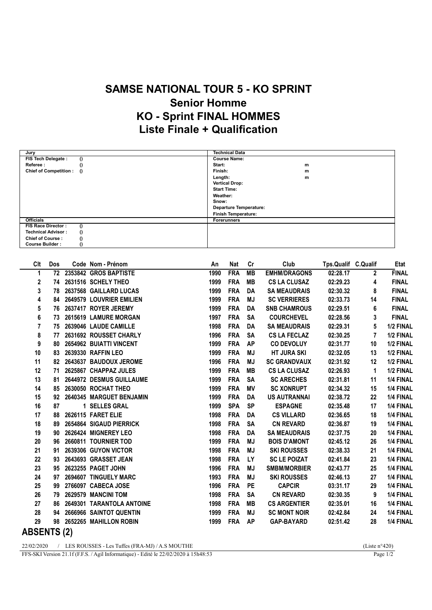## SAMSE NATIONAL TOUR 5 - KO SPRINT Senior Homme KO - Sprint FINAL HOMMES Liste Finale + Qualification

| Jury                                  | <b>Technical Data</b>         |
|---------------------------------------|-------------------------------|
| FIS Tech Delegate :<br>$\theta$       | <b>Course Name:</b>           |
| Referee:                              | Start:<br>m                   |
| Chief of Competition : ()             | Finish:<br>m                  |
|                                       | Length:<br>m                  |
|                                       | <b>Vertical Drop:</b>         |
|                                       | <b>Start Time:</b>            |
|                                       | Weather:                      |
|                                       | Snow:                         |
|                                       | <b>Departure Temperature:</b> |
|                                       | <b>Finish Temperature:</b>    |
| <b>Officials</b>                      | <b>Forerunners</b>            |
| FIS Race Director:                    |                               |
| <b>Technical Advisor:</b><br>$\Omega$ |                               |
| <b>Chief of Course:</b>               |                               |
| <b>Course Builder:</b>                |                               |

| Clt         | Dos | Code Nom - Prénom           | An   | <b>Nat</b> | Cr        | Club                | Tps.Qualif C.Qualif |                | <b>Etat</b>  |
|-------------|-----|-----------------------------|------|------------|-----------|---------------------|---------------------|----------------|--------------|
| 1           |     | 72 2353842 GROS BAPTISTE    | 1990 | <b>FRA</b> | <b>MB</b> | <b>EMHM/DRAGONS</b> | 02:28.17            | $\mathbf{2}$   | <b>FINAL</b> |
| 2           |     | 74 2631516 SCHELY THEO      | 1999 | <b>FRA</b> | <b>MB</b> | <b>CS LA CLUSAZ</b> | 02:29.23            | 4              | <b>FINAL</b> |
| 3           | 78  | 2637568 GAILLARD LUCAS      | 1999 | <b>FRA</b> | DA        | <b>SA MEAUDRAIS</b> | 02:30.32            | 8              | <b>FINAL</b> |
| 4           |     | 84 2649579 LOUVRIER EMILIEN | 1999 | <b>FRA</b> | MJ        | <b>SC VERRIERES</b> | 02:33.73            | 14             | <b>FINAL</b> |
| 5           |     | 76 2637417 ROYER JEREMY     | 1999 | <b>FRA</b> | DA        | <b>SNB CHAMROUS</b> | 02:29.51            | 6              | <b>FINAL</b> |
| 6           | 73  | 2615619 LAMURE MORGAN       | 1997 | <b>FRA</b> | <b>SA</b> | <b>COURCHEVEL</b>   | 02:28.56            | 3              | <b>FINAL</b> |
| 7           | 75  | 2639046 LAUDE CAMILLE       | 1998 | <b>FRA</b> | DA        | <b>SA MEAUDRAIS</b> | 02:29.31            | 5              | 1/2 FINAL    |
| 8           | 77  | 2631692 ROUSSET CHARLY      | 1996 | <b>FRA</b> | <b>SA</b> | <b>CS LA FECLAZ</b> | 02:30.25            | $\overline{7}$ | 1/2 FINAL    |
| 9           | 80  | 2654962 BUIATTI VINCENT     | 1999 | <b>FRA</b> | <b>AP</b> | <b>CO DEVOLUY</b>   | 02:31.77            | 10             | 1/2 FINAL    |
| 10          |     | 83 2639330 RAFFIN LEO       | 1999 | <b>FRA</b> | MJ        | <b>HT JURA SKI</b>  | 02:32.05            | 13             | 1/2 FINAL    |
| 11          | 82  | 2643637 BAUDOUX JEROME      | 1996 | <b>FRA</b> | <b>MJ</b> | <b>SC GRANDVAUX</b> | 02:31.92            | 12             | 1/2 FINAL    |
| 12          | 71  | 2625867 CHAPPAZ JULES       | 1999 | <b>FRA</b> | <b>MB</b> | <b>CS LA CLUSAZ</b> | 02:26.93            | 1              | 1/2 FINAL    |
| 13          | 81  | 2644972 DESMUS GUILLAUME    | 1999 | <b>FRA</b> | <b>SA</b> | <b>SC ARECHES</b>   | 02:31.81            | 11             | 1/4 FINAL    |
| 14          | 85  | 2630050 ROCHAT THEO         | 1999 | <b>FRA</b> | ΜV        | <b>SC XONRUPT</b>   | 02:34.32            | 15             | 1/4 FINAL    |
| 15          | 92  | 2640345 MARGUET BENJAMIN    | 1999 | <b>FRA</b> | <b>DA</b> | <b>US AUTRANNAI</b> | 02:38.72            | 22             | 1/4 FINAL    |
| 16          | 87  | 1 SELLES GRAL               | 1999 | <b>SPA</b> | <b>SP</b> | <b>ESPAGNE</b>      | 02:35.48            | 17             | 1/4 FINAL    |
| 17          | 88  | 2626115 FARET ELIE          | 1998 | <b>FRA</b> | DA        | <b>CS VILLARD</b>   | 02:36.65            | 18             | 1/4 FINAL    |
| 18          | 89  | 2654864 SIGAUD PIERRICK     | 1998 | <b>FRA</b> | <b>SA</b> | <b>CN REVARD</b>    | 02:36.87            | 19             | 1/4 FINAL    |
| 19          | 90  | 2626424 MIGNEREY LEO        | 1998 | <b>FRA</b> | DA        | <b>SA MEAUDRAIS</b> | 02:37.75            | 20             | 1/4 FINAL    |
| 20          | 96  | 2660811 TOURNIER TOD        | 1999 | <b>FRA</b> | <b>MJ</b> | <b>BOIS D'AMONT</b> | 02:45.12            | 26             | 1/4 FINAL    |
| 21          | 91  | 2639306 GUYON VICTOR        | 1998 | <b>FRA</b> | <b>MJ</b> | <b>SKI ROUSSES</b>  | 02:38.33            | 21             | 1/4 FINAL    |
| 22          | 93  | 2643693 GRASSET JEAN        | 1998 | <b>FRA</b> | LY        | <b>SC LE POIZAT</b> | 02:41.84            | 23             | 1/4 FINAL    |
| 23          | 95  | 2623255 PAGET JOHN          | 1996 | <b>FRA</b> | <b>MJ</b> | <b>SMBM/MORBIER</b> | 02:43.77            | 25             | 1/4 FINAL    |
| 24          | 97  | 2694607 TINGUELY MARC       | 1993 | <b>FRA</b> | <b>MJ</b> | <b>SKI ROUSSES</b>  | 02:46.13            | 27             | 1/4 FINAL    |
| 25          | 99  | 2766097 CABECA JOSE         | 1996 | <b>FRA</b> | <b>PE</b> | <b>CAPCIR</b>       | 03:31.17            | 29             | 1/4 FINAL    |
| 26          | 79  | 2629579 MANCINI TOM         | 1998 | <b>FRA</b> | <b>SA</b> | <b>CN REVARD</b>    | 02:30.35            | 9              | 1/4 FINAL    |
| 27          | 86  | 2649301 TARANTOLA ANTOINE   | 1998 | <b>FRA</b> | MВ        | <b>CS ARGENTIER</b> | 02:35.01            | 16             | 1/4 FINAL    |
| 28          | 94  | 2666966 SAINTOT QUENTIN     | 1999 | <b>FRA</b> | <b>MJ</b> | <b>SC MONT NOIR</b> | 02:42.84            | 24             | 1/4 FINAL    |
| 29          |     | 98 2652265 MAHILLON ROBIN   | 1999 | <b>FRA</b> | <b>AP</b> | <b>GAP-BAYARD</b>   | 02:51.42            | 28             | 1/4 FINAL    |
| ADCHITA (A) |     |                             |      |            |           |                     |                     |                |              |

ABSENTS (2)

22/02/2020 / LES ROUSSES - Les Tuffes (FRA-MJ) / A.S MOUTHE (Liste n°420)<br>FFS-SKI Version 21.1f (F.F.S. / Agil Informatique) - Edité le 22/02/2020 à 15h48:53 Page 1/2 FFS-SKI Version 21.1f (F.F.S. / Agil Informatique) - Edité le 22/02/2020 à 15h48:53